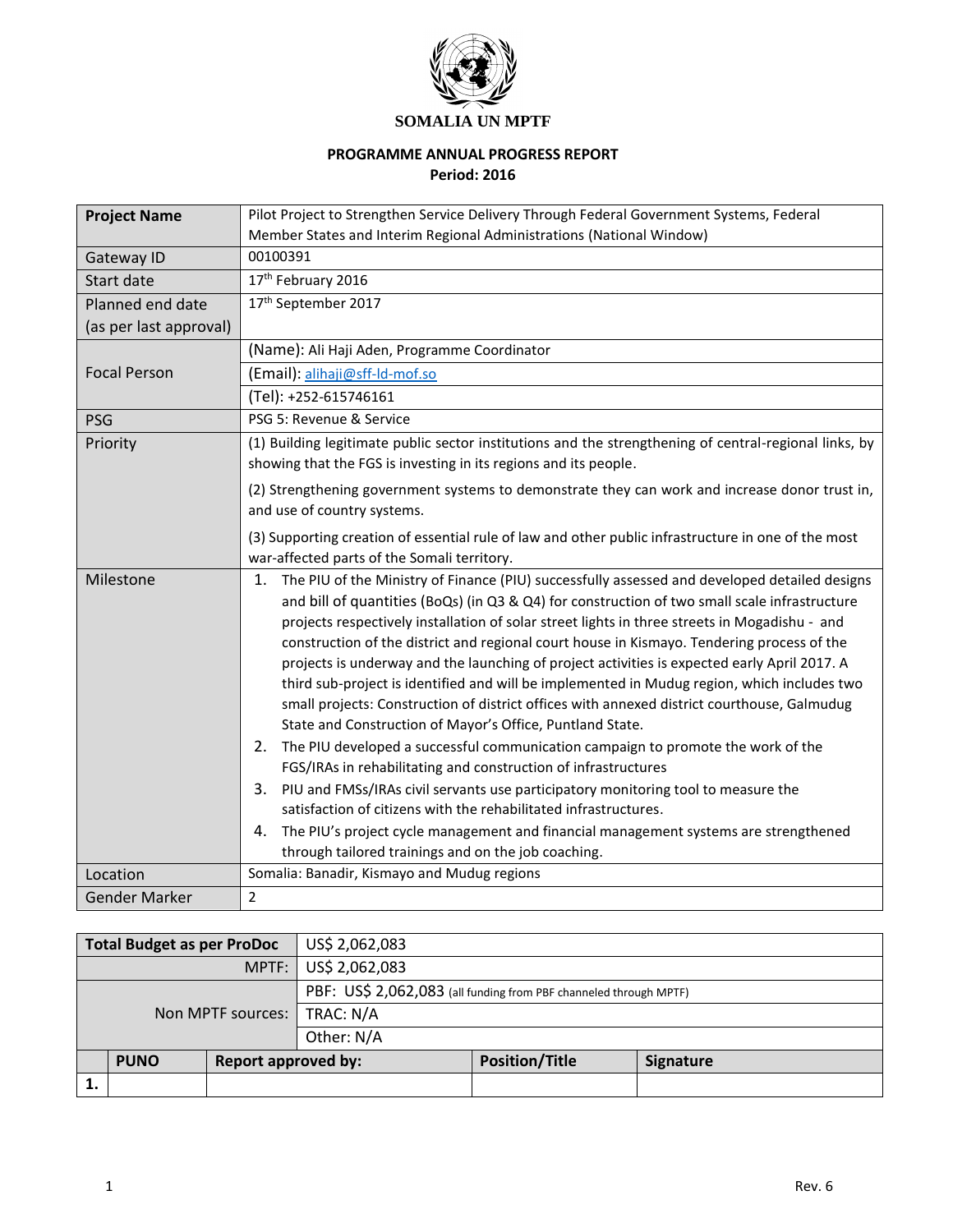

## **PROGRAMME ANNUAL PROGRESS REPORT**

**Period: 2016** 

| <b>Project Name</b>    | Pilot Project to Strengthen Service Delivery Through Federal Government Systems, Federal                                                                                                                                                                                                                                                                                                                                                                                                                                                                                                                                                                                                                                                                                                                                                                                                                                                                                                                                                                                                                                                                                                                                                    |  |  |  |
|------------------------|---------------------------------------------------------------------------------------------------------------------------------------------------------------------------------------------------------------------------------------------------------------------------------------------------------------------------------------------------------------------------------------------------------------------------------------------------------------------------------------------------------------------------------------------------------------------------------------------------------------------------------------------------------------------------------------------------------------------------------------------------------------------------------------------------------------------------------------------------------------------------------------------------------------------------------------------------------------------------------------------------------------------------------------------------------------------------------------------------------------------------------------------------------------------------------------------------------------------------------------------|--|--|--|
|                        | Member States and Interim Regional Administrations (National Window)                                                                                                                                                                                                                                                                                                                                                                                                                                                                                                                                                                                                                                                                                                                                                                                                                                                                                                                                                                                                                                                                                                                                                                        |  |  |  |
| Gateway ID             | 00100391                                                                                                                                                                                                                                                                                                                                                                                                                                                                                                                                                                                                                                                                                                                                                                                                                                                                                                                                                                                                                                                                                                                                                                                                                                    |  |  |  |
| Start date             | 17th February 2016                                                                                                                                                                                                                                                                                                                                                                                                                                                                                                                                                                                                                                                                                                                                                                                                                                                                                                                                                                                                                                                                                                                                                                                                                          |  |  |  |
| Planned end date       | 17th September 2017                                                                                                                                                                                                                                                                                                                                                                                                                                                                                                                                                                                                                                                                                                                                                                                                                                                                                                                                                                                                                                                                                                                                                                                                                         |  |  |  |
| (as per last approval) |                                                                                                                                                                                                                                                                                                                                                                                                                                                                                                                                                                                                                                                                                                                                                                                                                                                                                                                                                                                                                                                                                                                                                                                                                                             |  |  |  |
|                        | (Name): Ali Haji Aden, Programme Coordinator                                                                                                                                                                                                                                                                                                                                                                                                                                                                                                                                                                                                                                                                                                                                                                                                                                                                                                                                                                                                                                                                                                                                                                                                |  |  |  |
| <b>Focal Person</b>    | (Email): alihaji@sff-Id-mof.so                                                                                                                                                                                                                                                                                                                                                                                                                                                                                                                                                                                                                                                                                                                                                                                                                                                                                                                                                                                                                                                                                                                                                                                                              |  |  |  |
|                        | (Tel): +252-615746161                                                                                                                                                                                                                                                                                                                                                                                                                                                                                                                                                                                                                                                                                                                                                                                                                                                                                                                                                                                                                                                                                                                                                                                                                       |  |  |  |
| <b>PSG</b>             | PSG 5: Revenue & Service                                                                                                                                                                                                                                                                                                                                                                                                                                                                                                                                                                                                                                                                                                                                                                                                                                                                                                                                                                                                                                                                                                                                                                                                                    |  |  |  |
| Priority               | (1) Building legitimate public sector institutions and the strengthening of central-regional links, by<br>showing that the FGS is investing in its regions and its people.                                                                                                                                                                                                                                                                                                                                                                                                                                                                                                                                                                                                                                                                                                                                                                                                                                                                                                                                                                                                                                                                  |  |  |  |
|                        | (2) Strengthening government systems to demonstrate they can work and increase donor trust in,<br>and use of country systems.                                                                                                                                                                                                                                                                                                                                                                                                                                                                                                                                                                                                                                                                                                                                                                                                                                                                                                                                                                                                                                                                                                               |  |  |  |
|                        | (3) Supporting creation of essential rule of law and other public infrastructure in one of the most<br>war-affected parts of the Somali territory.                                                                                                                                                                                                                                                                                                                                                                                                                                                                                                                                                                                                                                                                                                                                                                                                                                                                                                                                                                                                                                                                                          |  |  |  |
| Milestone              | The PIU of the Ministry of Finance (PIU) successfully assessed and developed detailed designs<br>1.<br>and bill of quantities (BoQs) (in Q3 & Q4) for construction of two small scale infrastructure<br>projects respectively installation of solar street lights in three streets in Mogadishu - and<br>construction of the district and regional court house in Kismayo. Tendering process of the<br>projects is underway and the launching of project activities is expected early April 2017. A<br>third sub-project is identified and will be implemented in Mudug region, which includes two<br>small projects: Construction of district offices with annexed district courthouse, Galmudug<br>State and Construction of Mayor's Office, Puntland State.<br>The PIU developed a successful communication campaign to promote the work of the<br>2.<br>FGS/IRAs in rehabilitating and construction of infrastructures<br>3. PIU and FMSs/IRAs civil servants use participatory monitoring tool to measure the<br>satisfaction of citizens with the rehabilitated infrastructures.<br>The PIU's project cycle management and financial management systems are strengthened<br>4.<br>through tailored trainings and on the job coaching. |  |  |  |
| Location               | Somalia: Banadir, Kismayo and Mudug regions                                                                                                                                                                                                                                                                                                                                                                                                                                                                                                                                                                                                                                                                                                                                                                                                                                                                                                                                                                                                                                                                                                                                                                                                 |  |  |  |
| <b>Gender Marker</b>   | $\overline{2}$                                                                                                                                                                                                                                                                                                                                                                                                                                                                                                                                                                                                                                                                                                                                                                                                                                                                                                                                                                                                                                                                                                                                                                                                                              |  |  |  |

| <b>Total Budget as per ProDoc</b><br>US\$ 2,062,083 |             |                            |                                                                   |                       |                  |
|-----------------------------------------------------|-------------|----------------------------|-------------------------------------------------------------------|-----------------------|------------------|
| MPTF:                                               |             |                            | US\$ 2,062,083                                                    |                       |                  |
|                                                     |             |                            | PBF: US\$ 2,062,083 (all funding from PBF channeled through MPTF) |                       |                  |
| Non MPTF sources:                                   |             |                            | TRAC: N/A                                                         |                       |                  |
|                                                     |             |                            | Other: N/A                                                        |                       |                  |
|                                                     | <b>PUNO</b> | <b>Report approved by:</b> |                                                                   | <b>Position/Title</b> | <b>Signature</b> |
|                                                     |             |                            |                                                                   |                       |                  |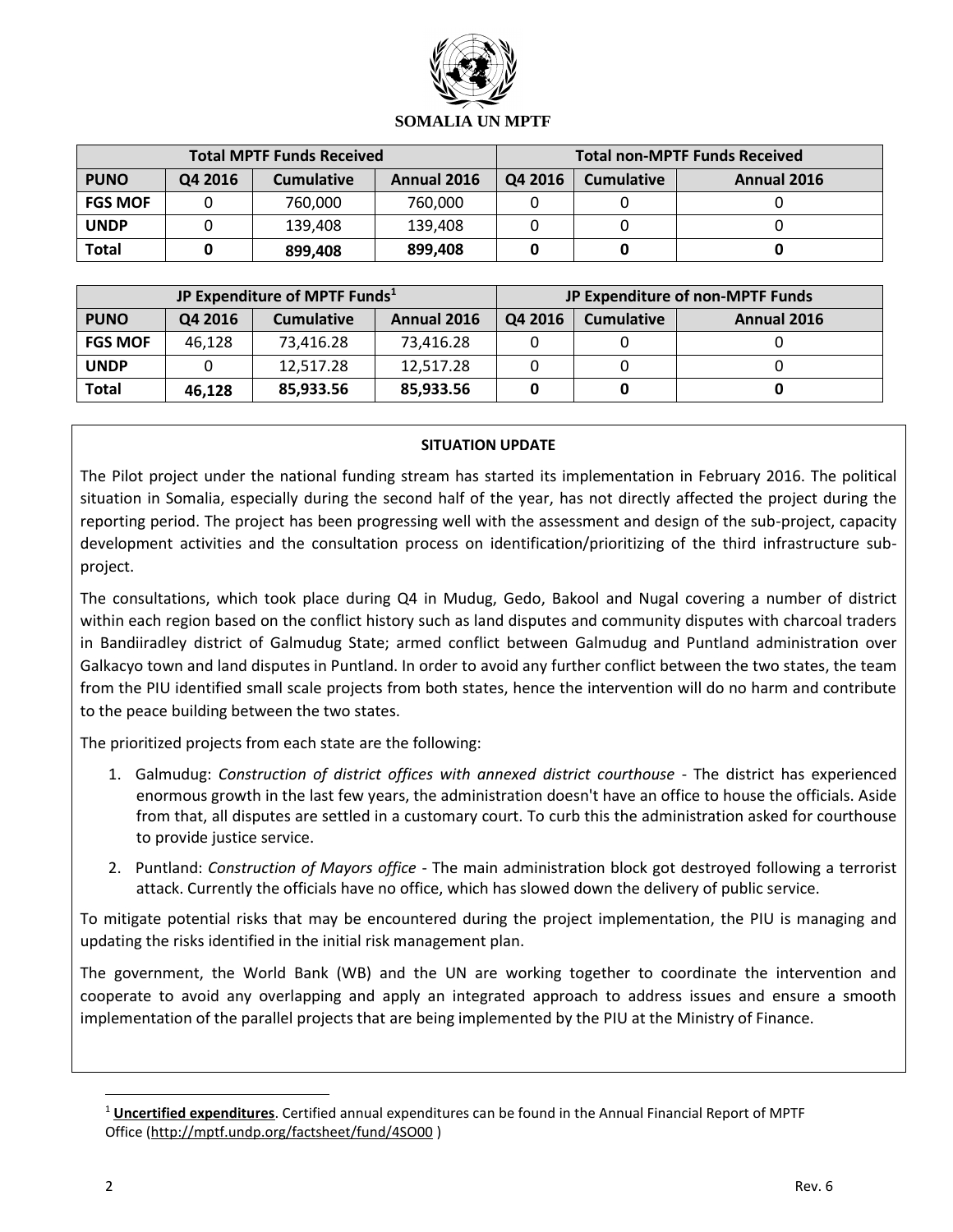

| <b>Total MPTF Funds Received</b> |         |                   |             | <b>Total non-MPTF Funds Received</b> |                   |             |
|----------------------------------|---------|-------------------|-------------|--------------------------------------|-------------------|-------------|
| <b>PUNO</b>                      | Q4 2016 | <b>Cumulative</b> | Annual 2016 | Q4 2016                              | <b>Cumulative</b> | Annual 2016 |
| <b>FGS MOF</b>                   |         | 760,000           | 760,000     |                                      |                   |             |
| <b>UNDP</b>                      |         | 139,408           | 139,408     |                                      |                   |             |
| <b>Total</b>                     |         | 899,408           | 899,408     |                                      |                   |             |

| JP Expenditure of MPTF Funds <sup>1</sup> |         |                   |             |         |                   | JP Expenditure of non-MPTF Funds |
|-------------------------------------------|---------|-------------------|-------------|---------|-------------------|----------------------------------|
| <b>PUNO</b>                               | Q4 2016 | <b>Cumulative</b> | Annual 2016 | Q4 2016 | <b>Cumulative</b> | Annual 2016                      |
| <b>FGS MOF</b>                            | 46,128  | 73,416.28         | 73,416.28   |         |                   |                                  |
| <b>UNDP</b>                               |         | 12,517.28         | 12,517.28   |         |                   |                                  |
| <b>Total</b>                              | 46,128  | 85,933.56         | 85,933.56   |         |                   |                                  |

### **SITUATION UPDATE**

The Pilot project under the national funding stream has started its implementation in February 2016. The political situation in Somalia, especially during the second half of the year, has not directly affected the project during the reporting period. The project has been progressing well with the assessment and design of the sub-project, capacity development activities and the consultation process on identification/prioritizing of the third infrastructure subproject.

The consultations, which took place during Q4 in Mudug, Gedo, Bakool and Nugal covering a number of district within each region based on the conflict history such as land disputes and community disputes with charcoal traders in Bandiiradley district of Galmudug State; armed conflict between Galmudug and Puntland administration over Galkacyo town and land disputes in Puntland. In order to avoid any further conflict between the two states, the team from the PIU identified small scale projects from both states, hence the intervention will do no harm and contribute to the peace building between the two states.

The prioritized projects from each state are the following:

- 1. Galmudug: *Construction of district offices with annexed district courthouse* The district has experienced enormous growth in the last few years, the administration doesn't have an office to house the officials. Aside from that, all disputes are settled in a customary court. To curb this the administration asked for courthouse to provide justice service.
- 2. Puntland: *Construction of Mayors office* The main administration block got destroyed following a terrorist attack. Currently the officials have no office, which has slowed down the delivery of public service.

To mitigate potential risks that may be encountered during the project implementation, the PIU is managing and updating the risks identified in the initial risk management plan.

The government, the World Bank (WB) and the UN are working together to coordinate the intervention and cooperate to avoid any overlapping and apply an integrated approach to address issues and ensure a smooth implementation of the parallel projects that are being implemented by the PIU at the Ministry of Finance.

 $\overline{a}$ 

<sup>1</sup> **Uncertified expenditures**. Certified annual expenditures can be found in the Annual Financial Report of MPTF Office [\(http://mptf.undp.org/factsheet/fund/4SO00](http://mptf.undp.org/factsheet/fund/4SO00) )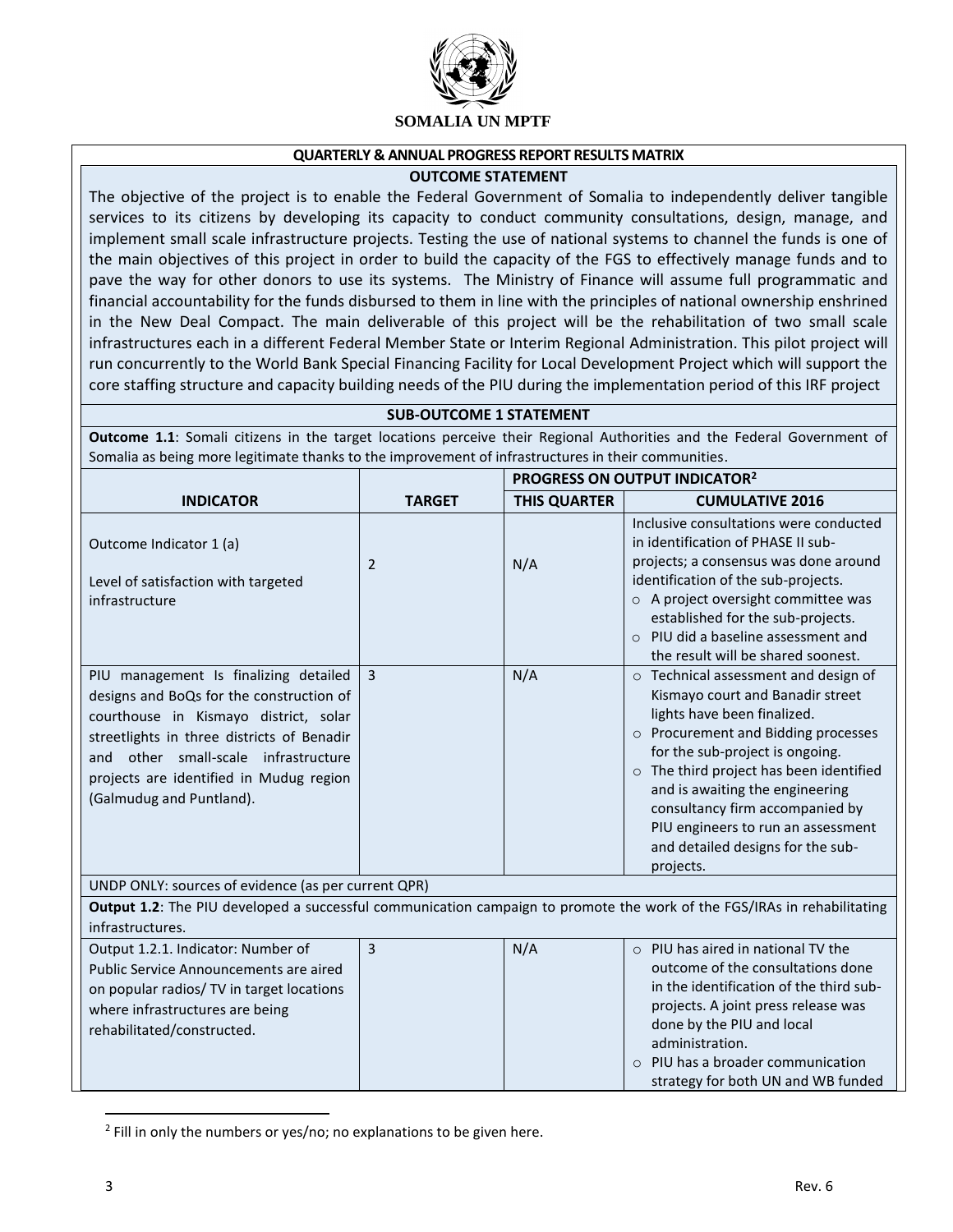

#### **QUARTERLY & ANNUAL PROGRESS REPORT RESULTS MATRIX**

#### **OUTCOME STATEMENT**

The objective of the project is to enable the Federal Government of Somalia to independently deliver tangible services to its citizens by developing its capacity to conduct community consultations, design, manage, and implement small scale infrastructure projects. Testing the use of national systems to channel the funds is one of the main objectives of this project in order to build the capacity of the FGS to effectively manage funds and to pave the way for other donors to use its systems. The Ministry of Finance will assume full programmatic and financial accountability for the funds disbursed to them in line with the principles of national ownership enshrined in the New Deal Compact. The main deliverable of this project will be the rehabilitation of two small scale infrastructures each in a different Federal Member State or Interim Regional Administration. This pilot project will run concurrently to the World Bank Special Financing Facility for Local Development Project which will support the core staffing structure and capacity building needs of the PIU during the implementation period of this IRF project

#### **SUB-OUTCOME 1 STATEMENT**

**Outcome 1.1**: Somali citizens in the target locations perceive their Regional Authorities and the Federal Government of Somalia as being more legitimate thanks to the improvement of infrastructures in their communities.

|                                                                                                                                                                                                                                                                                         |                | PROGRESS ON OUTPUT INDICATOR <sup>2</sup> |                                                                                                                                                                                                                                                                                                                                                                                            |  |
|-----------------------------------------------------------------------------------------------------------------------------------------------------------------------------------------------------------------------------------------------------------------------------------------|----------------|-------------------------------------------|--------------------------------------------------------------------------------------------------------------------------------------------------------------------------------------------------------------------------------------------------------------------------------------------------------------------------------------------------------------------------------------------|--|
| <b>INDICATOR</b>                                                                                                                                                                                                                                                                        | <b>TARGET</b>  | <b>THIS QUARTER</b>                       | <b>CUMULATIVE 2016</b>                                                                                                                                                                                                                                                                                                                                                                     |  |
| Outcome Indicator 1 (a)<br>Level of satisfaction with targeted<br>infrastructure                                                                                                                                                                                                        | 2              | N/A                                       | Inclusive consultations were conducted<br>in identification of PHASE II sub-<br>projects; a consensus was done around<br>identification of the sub-projects.<br>o A project oversight committee was<br>established for the sub-projects.<br>$\circ$ PIU did a baseline assessment and<br>the result will be shared soonest.                                                                |  |
| PIU management Is finalizing detailed<br>designs and BoQs for the construction of<br>courthouse in Kismayo district, solar<br>streetlights in three districts of Benadir<br>and other small-scale infrastructure<br>projects are identified in Mudug region<br>(Galmudug and Puntland). | $\overline{3}$ | N/A                                       | o Technical assessment and design of<br>Kismayo court and Banadir street<br>lights have been finalized.<br>o Procurement and Bidding processes<br>for the sub-project is ongoing.<br>o The third project has been identified<br>and is awaiting the engineering<br>consultancy firm accompanied by<br>PIU engineers to run an assessment<br>and detailed designs for the sub-<br>projects. |  |
| UNDP ONLY: sources of evidence (as per current QPR)                                                                                                                                                                                                                                     |                |                                           |                                                                                                                                                                                                                                                                                                                                                                                            |  |
| Output 1.2: The PIU developed a successful communication campaign to promote the work of the FGS/IRAs in rehabilitating<br>infrastructures.                                                                                                                                             |                |                                           |                                                                                                                                                                                                                                                                                                                                                                                            |  |
| Output 1.2.1. Indicator: Number of<br>Public Service Announcements are aired<br>on popular radios/ TV in target locations<br>where infrastructures are being<br>rehabilitated/constructed.                                                                                              | $\overline{3}$ | N/A                                       | $\circ$ PIU has aired in national TV the<br>outcome of the consultations done<br>in the identification of the third sub-<br>projects. A joint press release was<br>done by the PIU and local<br>administration.<br>PIU has a broader communication<br>$\Omega$<br>strategy for both UN and WB funded                                                                                       |  |

<sup>&</sup>lt;sup>2</sup> Fill in only the numbers or yes/no; no explanations to be given here.

 $\overline{\phantom{a}}$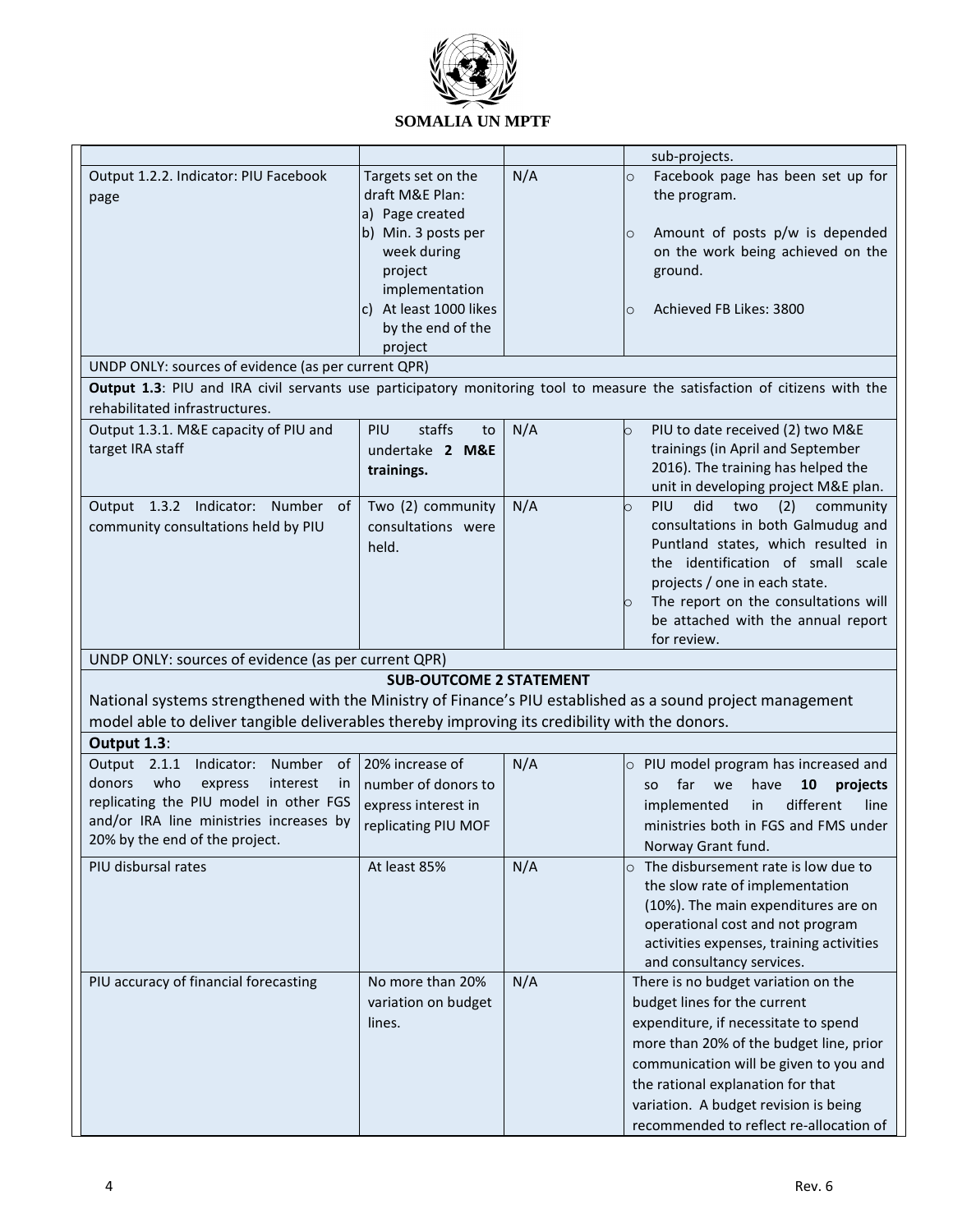

|                                                                                                                                                                                                                                   |                                                                                                                                                                                          |     | sub-projects.                                                                                                                                                                                                                                                                                                             |
|-----------------------------------------------------------------------------------------------------------------------------------------------------------------------------------------------------------------------------------|------------------------------------------------------------------------------------------------------------------------------------------------------------------------------------------|-----|---------------------------------------------------------------------------------------------------------------------------------------------------------------------------------------------------------------------------------------------------------------------------------------------------------------------------|
| Output 1.2.2. Indicator: PIU Facebook<br>page<br>UNDP ONLY: sources of evidence (as per current QPR)<br>Output 1.3: PIU and IRA civil servants use participatory monitoring tool to measure the satisfaction of citizens with the | Targets set on the<br>draft M&E Plan:<br>a) Page created<br>b) Min. 3 posts per<br>week during<br>project<br>implementation<br>At least 1000 likes<br>C)<br>by the end of the<br>project | N/A | Facebook page has been set up for<br>$\circ$<br>the program.<br>Amount of posts p/w is depended<br>$\circ$<br>on the work being achieved on the<br>ground.<br>Achieved FB Likes: 3800<br>$\circ$                                                                                                                          |
| rehabilitated infrastructures.                                                                                                                                                                                                    |                                                                                                                                                                                          |     |                                                                                                                                                                                                                                                                                                                           |
| Output 1.3.1. M&E capacity of PIU and<br>target IRA staff                                                                                                                                                                         | staffs<br>PIU<br>to<br>undertake 2 M&E<br>trainings.                                                                                                                                     | N/A | PIU to date received (2) two M&E<br>O<br>trainings (in April and September<br>2016). The training has helped the<br>unit in developing project M&E plan.                                                                                                                                                                  |
| Output 1.3.2 Indicator: Number of<br>community consultations held by PIU                                                                                                                                                          | Two (2) community<br>consultations were<br>held.                                                                                                                                         | N/A | PIU<br>did<br>two<br>(2)<br>community<br>O<br>consultations in both Galmudug and<br>Puntland states, which resulted in<br>the identification of small scale<br>projects / one in each state.<br>The report on the consultations will<br>be attached with the annual report<br>for review.                                 |
| UNDP ONLY: sources of evidence (as per current QPR)                                                                                                                                                                               |                                                                                                                                                                                          |     |                                                                                                                                                                                                                                                                                                                           |
|                                                                                                                                                                                                                                   | <b>SUB-OUTCOME 2 STATEMENT</b>                                                                                                                                                           |     |                                                                                                                                                                                                                                                                                                                           |
| National systems strengthened with the Ministry of Finance's PIU established as a sound project management<br>model able to deliver tangible deliverables thereby improving its credibility with the donors.                      |                                                                                                                                                                                          |     |                                                                                                                                                                                                                                                                                                                           |
| Output 1.3:                                                                                                                                                                                                                       |                                                                                                                                                                                          |     |                                                                                                                                                                                                                                                                                                                           |
| Output 2.1.1<br>Indicator: Number of<br>donors<br>who<br>express<br>interest<br>in<br>replicating the PIU model in other FGS<br>and/or IRA line ministries increases by<br>20% by the end of the project.                         | 20% increase of<br>number of donors to<br>express interest in<br>replicating PIU MOF                                                                                                     | N/A | $\circ$ PIU model program has increased and<br>far<br>have<br>10<br>projects<br>we<br>SO.<br>different<br>implemented<br>line<br>in<br>ministries both in FGS and FMS under<br>Norway Grant fund.                                                                                                                         |
| PIU disbursal rates                                                                                                                                                                                                               | At least 85%                                                                                                                                                                             | N/A | $\circ$ The disbursement rate is low due to<br>the slow rate of implementation<br>(10%). The main expenditures are on<br>operational cost and not program<br>activities expenses, training activities<br>and consultancy services.                                                                                        |
| PIU accuracy of financial forecasting                                                                                                                                                                                             | No more than 20%<br>variation on budget<br>lines.                                                                                                                                        | N/A | There is no budget variation on the<br>budget lines for the current<br>expenditure, if necessitate to spend<br>more than 20% of the budget line, prior<br>communication will be given to you and<br>the rational explanation for that<br>variation. A budget revision is being<br>recommended to reflect re-allocation of |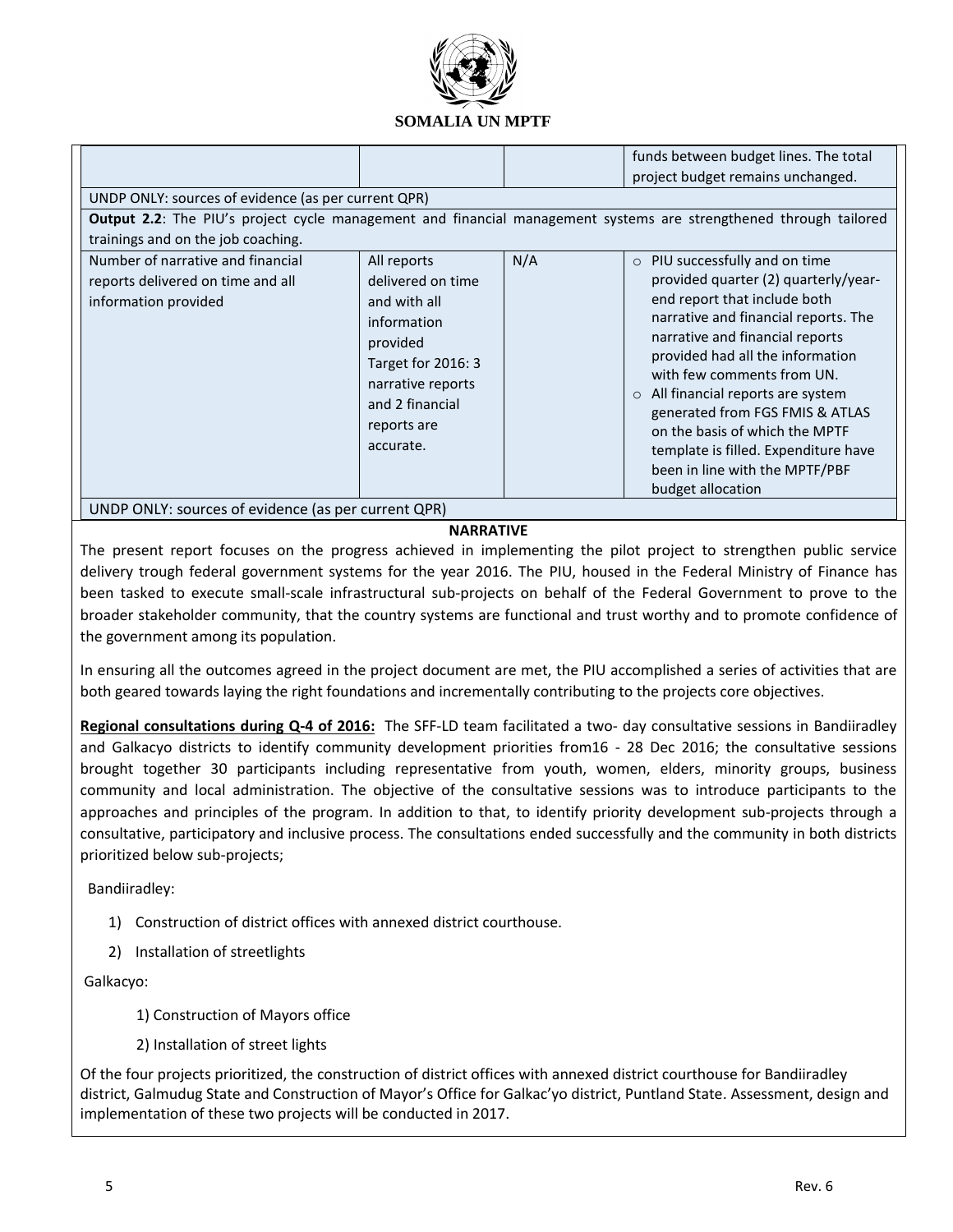

| N/A<br>Number of narrative and financial<br>$\circ$ PIU successfully and on time<br>All reports<br>provided quarter (2) quarterly/year-<br>delivered on time<br>reports delivered on time and all<br>end report that include both<br>and with all<br>information provided<br>narrative and financial reports. The<br>information<br>narrative and financial reports<br>provided<br>provided had all the information<br>Target for 2016: 3<br>with few comments from UN.<br>narrative reports<br>All financial reports are system<br>$\circ$<br>and 2 financial<br>generated from FGS FMIS & ATLAS<br>reports are<br>on the basis of which the MPTF<br>accurate.<br>template is filled. Expenditure have<br>been in line with the MPTF/PBF<br>budget allocation<br>UNDP ONLY: sources of evidence (as per current QPR) | UNDP ONLY: sources of evidence (as per current QPR)<br>Output 2.2: The PIU's project cycle management and financial management systems are strengthened through tailored<br>trainings and on the job coaching. |  | funds between budget lines. The total<br>project budget remains unchanged. |
|-----------------------------------------------------------------------------------------------------------------------------------------------------------------------------------------------------------------------------------------------------------------------------------------------------------------------------------------------------------------------------------------------------------------------------------------------------------------------------------------------------------------------------------------------------------------------------------------------------------------------------------------------------------------------------------------------------------------------------------------------------------------------------------------------------------------------|----------------------------------------------------------------------------------------------------------------------------------------------------------------------------------------------------------------|--|----------------------------------------------------------------------------|
|                                                                                                                                                                                                                                                                                                                                                                                                                                                                                                                                                                                                                                                                                                                                                                                                                       |                                                                                                                                                                                                                |  |                                                                            |

#### **NARRATIVE**

The present report focuses on the progress achieved in implementing the pilot project to strengthen public service delivery trough federal government systems for the year 2016. The PIU, housed in the Federal Ministry of Finance has been tasked to execute small-scale infrastructural sub-projects on behalf of the Federal Government to prove to the broader stakeholder community, that the country systems are functional and trust worthy and to promote confidence of the government among its population.

In ensuring all the outcomes agreed in the project document are met, the PIU accomplished a series of activities that are both geared towards laying the right foundations and incrementally contributing to the projects core objectives.

**Regional consultations during Q-4 of 2016:** The SFF-LD team facilitated a two- day consultative sessions in Bandiiradley and Galkacyo districts to identify community development priorities from16 - 28 Dec 2016; the consultative sessions brought together 30 participants including representative from youth, women, elders, minority groups, business community and local administration. The objective of the consultative sessions was to introduce participants to the approaches and principles of the program. In addition to that, to identify priority development sub-projects through a consultative, participatory and inclusive process. The consultations ended successfully and the community in both districts prioritized below sub-projects;

Bandiiradley:

- 1) Construction of district offices with annexed district courthouse.
- 2) Installation of streetlights

Galkacyo:

- 1) Construction of Mayors office
- 2) Installation of street lights

Of the four projects prioritized, the construction of district offices with annexed district courthouse for Bandiiradley district, Galmudug State and Construction of Mayor's Office for Galkac'yo district, Puntland State. Assessment, design and implementation of these two projects will be conducted in 2017.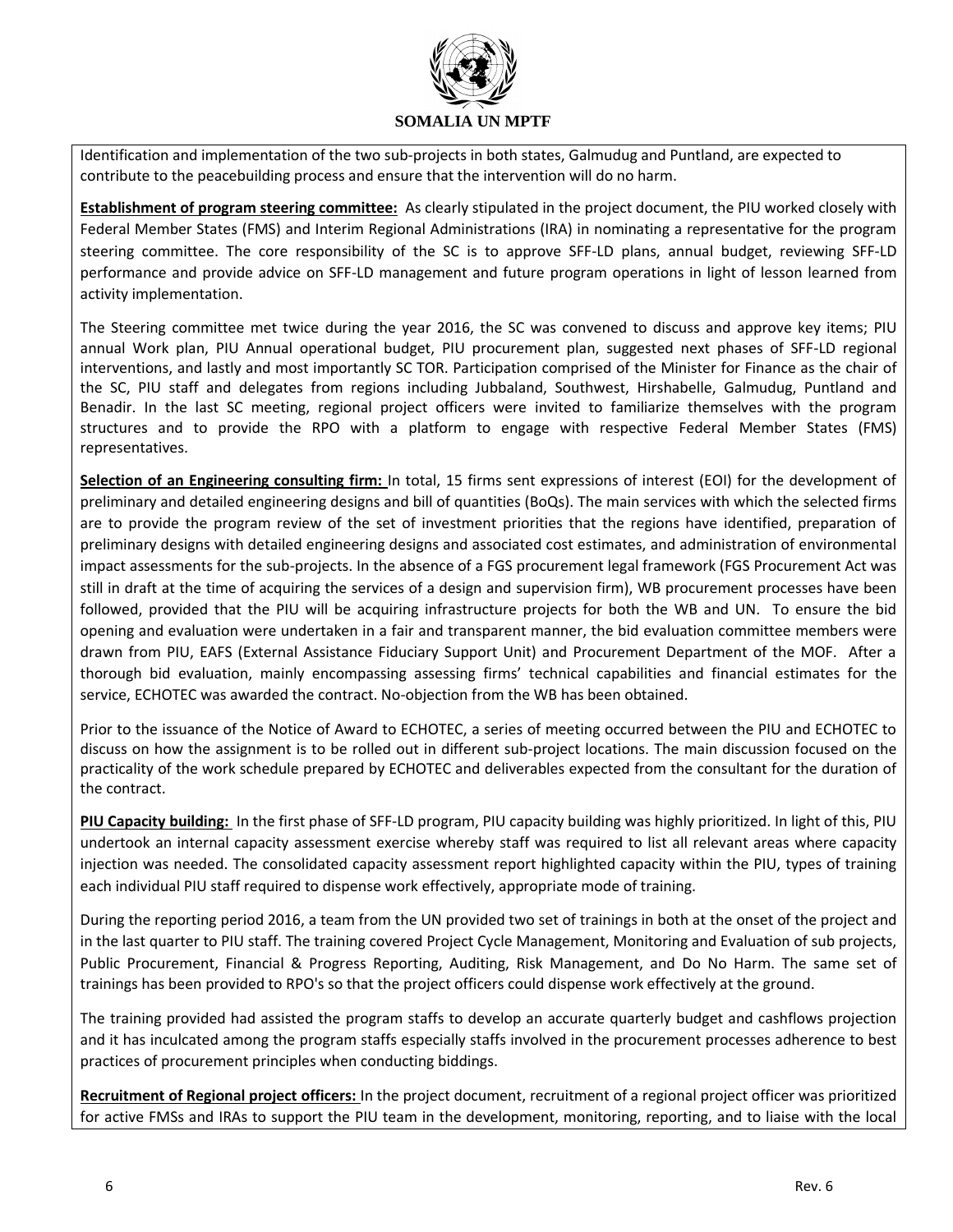

Identification and implementation of the two sub-projects in both states, Galmudug and Puntland, are expected to contribute to the peacebuilding process and ensure that the intervention will do no harm.

**Establishment of program steering committee:** As clearly stipulated in the project document, the PIU worked closely with Federal Member States (FMS) and Interim Regional Administrations (IRA) in nominating a representative for the program steering committee. The core responsibility of the SC is to approve SFF-LD plans, annual budget, reviewing SFF-LD performance and provide advice on SFF-LD management and future program operations in light of lesson learned from activity implementation.

The Steering committee met twice during the year 2016, the SC was convened to discuss and approve key items; PIU annual Work plan, PIU Annual operational budget, PIU procurement plan, suggested next phases of SFF-LD regional interventions, and lastly and most importantly SC TOR. Participation comprised of the Minister for Finance as the chair of the SC, PIU staff and delegates from regions including Jubbaland, Southwest, Hirshabelle, Galmudug, Puntland and Benadir. In the last SC meeting, regional project officers were invited to familiarize themselves with the program structures and to provide the RPO with a platform to engage with respective Federal Member States (FMS) representatives.

**Selection of an Engineering consulting firm:** In total, 15 firms sent expressions of interest (EOI) for the development of preliminary and detailed engineering designs and bill of quantities (BoQs). The main services with which the selected firms are to provide the program review of the set of investment priorities that the regions have identified, preparation of preliminary designs with detailed engineering designs and associated cost estimates, and administration of environmental impact assessments for the sub-projects. In the absence of a FGS procurement legal framework (FGS Procurement Act was still in draft at the time of acquiring the services of a design and supervision firm), WB procurement processes have been followed, provided that the PIU will be acquiring infrastructure projects for both the WB and UN. To ensure the bid opening and evaluation were undertaken in a fair and transparent manner, the bid evaluation committee members were drawn from PIU, EAFS (External Assistance Fiduciary Support Unit) and Procurement Department of the MOF. After a thorough bid evaluation, mainly encompassing assessing firms' technical capabilities and financial estimates for the service, ECHOTEC was awarded the contract. No-objection from the WB has been obtained.

Prior to the issuance of the Notice of Award to ECHOTEC, a series of meeting occurred between the PIU and ECHOTEC to discuss on how the assignment is to be rolled out in different sub-project locations. The main discussion focused on the practicality of the work schedule prepared by ECHOTEC and deliverables expected from the consultant for the duration of the contract.

**PIU Capacity building:** In the first phase of SFF-LD program, PIU capacity building was highly prioritized. In light of this, PIU undertook an internal capacity assessment exercise whereby staff was required to list all relevant areas where capacity injection was needed. The consolidated capacity assessment report highlighted capacity within the PIU, types of training each individual PIU staff required to dispense work effectively, appropriate mode of training.

During the reporting period 2016, a team from the UN provided two set of trainings in both at the onset of the project and in the last quarter to PIU staff. The training covered Project Cycle Management, Monitoring and Evaluation of sub projects, Public Procurement, Financial & Progress Reporting, Auditing, Risk Management, and Do No Harm. The same set of trainings has been provided to RPO's so that the project officers could dispense work effectively at the ground.

The training provided had assisted the program staffs to develop an accurate quarterly budget and cashflows projection and it has inculcated among the program staffs especially staffs involved in the procurement processes adherence to best practices of procurement principles when conducting biddings.

**Recruitment of Regional project officers:** In the project document, recruitment of a regional project officer was prioritized for active FMSs and IRAs to support the PIU team in the development, monitoring, reporting, and to liaise with the local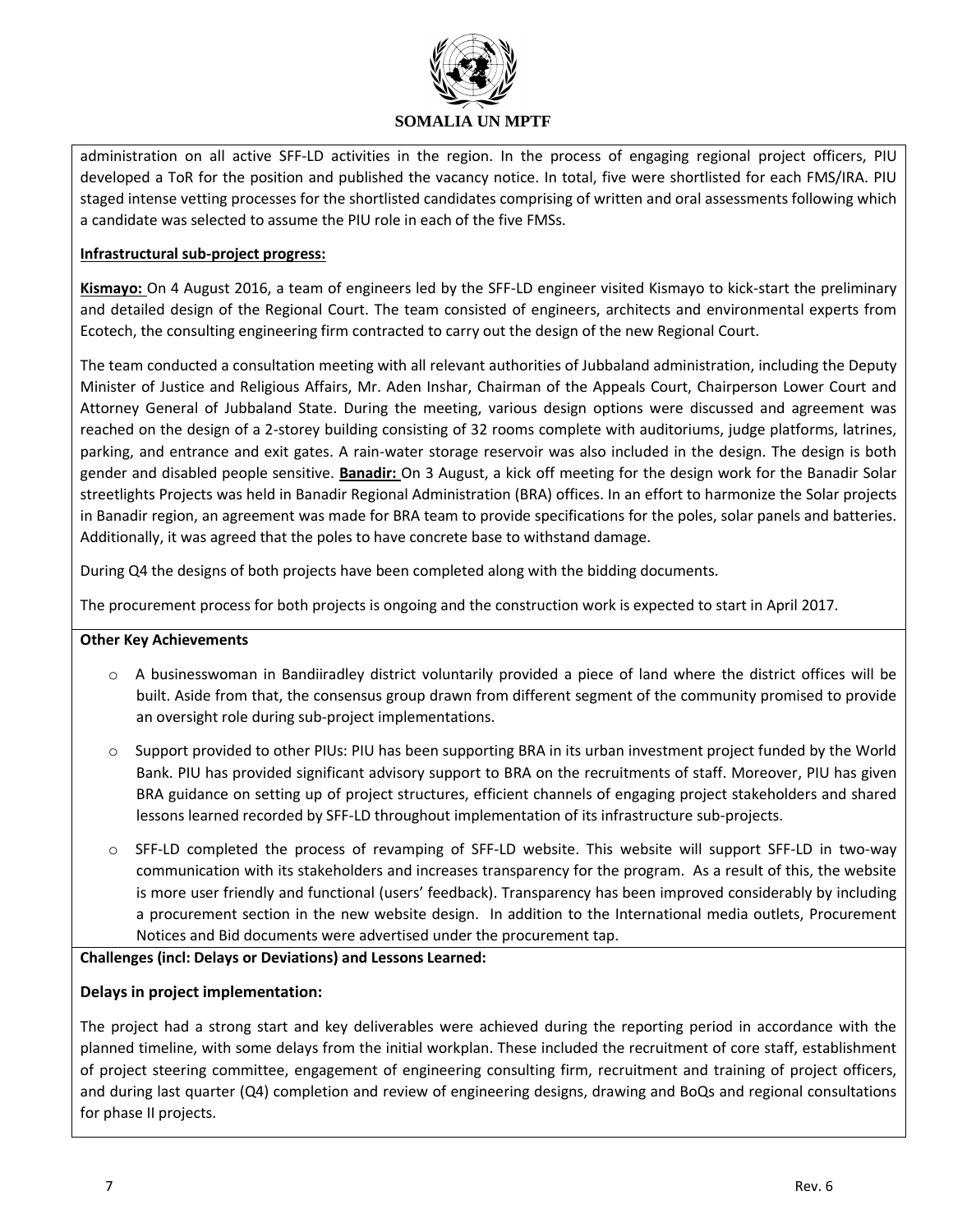

administration on all active SFF-LD activities in the region. In the process of engaging regional project officers, PIU developed a ToR for the position and published the vacancy notice. In total, five were shortlisted for each FMS/IRA. PIU staged intense vetting processes for the shortlisted candidates comprising of written and oral assessments following which a candidate was selected to assume the PIU role in each of the five FMSs.

### **Infrastructural sub-project progress:**

**Kismayo:** On 4 August 2016, a team of engineers led by the SFF-LD engineer visited Kismayo to kick-start the preliminary and detailed design of the Regional Court. The team consisted of engineers, architects and environmental experts from Ecotech, the consulting engineering firm contracted to carry out the design of the new Regional Court.

The team conducted a consultation meeting with all relevant authorities of Jubbaland administration, including the Deputy Minister of Justice and Religious Affairs, Mr. Aden Inshar, Chairman of the Appeals Court, Chairperson Lower Court and Attorney General of Jubbaland State. During the meeting, various design options were discussed and agreement was reached on the design of a 2-storey building consisting of 32 rooms complete with auditoriums, judge platforms, latrines, parking, and entrance and exit gates. A rain-water storage reservoir was also included in the design. The design is both gender and disabled people sensitive. **Banadir:** On 3 August, a kick off meeting for the design work for the Banadir Solar streetlights Projects was held in Banadir Regional Administration (BRA) offices. In an effort to harmonize the Solar projects in Banadir region, an agreement was made for BRA team to provide specifications for the poles, solar panels and batteries. Additionally, it was agreed that the poles to have concrete base to withstand damage.

During Q4 the designs of both projects have been completed along with the bidding documents.

The procurement process for both projects is ongoing and the construction work is expected to start in April 2017.

#### **Other Key Achievements**

- o A businesswoman in Bandiiradley district voluntarily provided a piece of land where the district offices will be built. Aside from that, the consensus group drawn from different segment of the community promised to provide an oversight role during sub-project implementations.
- $\circ$  Support provided to other PIUs: PIU has been supporting BRA in its urban investment project funded by the World Bank. PIU has provided significant advisory support to BRA on the recruitments of staff. Moreover, PIU has given BRA guidance on setting up of project structures, efficient channels of engaging project stakeholders and shared lessons learned recorded by SFF-LD throughout implementation of its infrastructure sub-projects.
- o SFF-LD completed the process of revamping of SFF-LD website. This website will support SFF-LD in two-way communication with its stakeholders and increases transparency for the program. As a result of this, the website is more user friendly and functional (users' feedback). Transparency has been improved considerably by including a procurement section in the new website design. In addition to the International media outlets, Procurement Notices and Bid documents were advertised under the procurement tap.

## **Challenges (incl: Delays or Deviations) and Lessons Learned:**

#### **Delays in project implementation:**

The project had a strong start and key deliverables were achieved during the reporting period in accordance with the planned timeline, with some delays from the initial workplan. These included the recruitment of core staff, establishment of project steering committee, engagement of engineering consulting firm, recruitment and training of project officers, and during last quarter (Q4) completion and review of engineering designs, drawing and BoQs and regional consultations for phase II projects.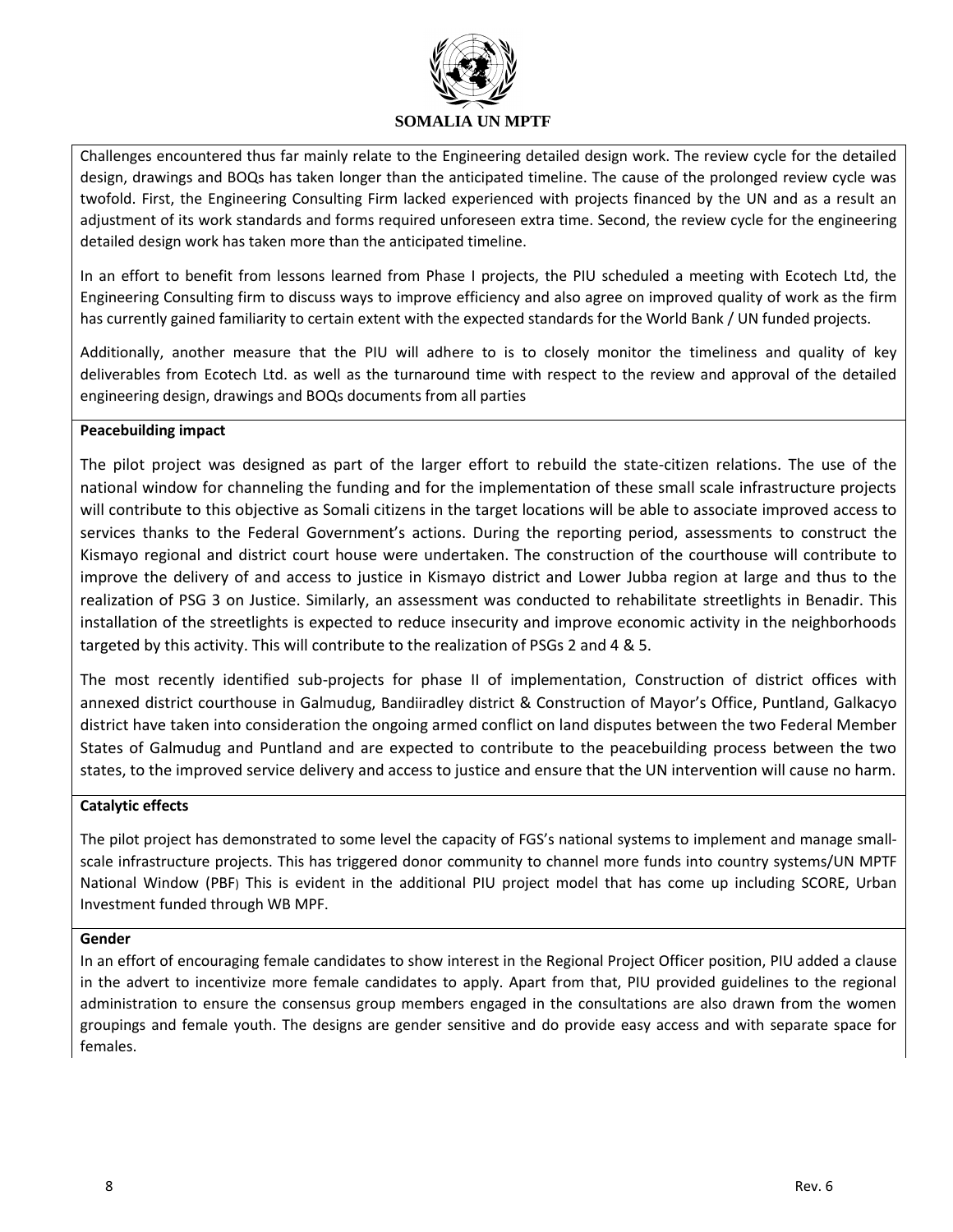

Challenges encountered thus far mainly relate to the Engineering detailed design work. The review cycle for the detailed design, drawings and BOQs has taken longer than the anticipated timeline. The cause of the prolonged review cycle was twofold. First, the Engineering Consulting Firm lacked experienced with projects financed by the UN and as a result an adjustment of its work standards and forms required unforeseen extra time. Second, the review cycle for the engineering detailed design work has taken more than the anticipated timeline.

In an effort to benefit from lessons learned from Phase I projects, the PIU scheduled a meeting with Ecotech Ltd, the Engineering Consulting firm to discuss ways to improve efficiency and also agree on improved quality of work as the firm has currently gained familiarity to certain extent with the expected standards for the World Bank / UN funded projects.

Additionally, another measure that the PIU will adhere to is to closely monitor the timeliness and quality of key deliverables from Ecotech Ltd. as well as the turnaround time with respect to the review and approval of the detailed engineering design, drawings and BOQs documents from all parties

### **Peacebuilding impact**

The pilot project was designed as part of the larger effort to rebuild the state-citizen relations. The use of the national window for channeling the funding and for the implementation of these small scale infrastructure projects will contribute to this objective as Somali citizens in the target locations will be able to associate improved access to services thanks to the Federal Government's actions. During the reporting period, assessments to construct the Kismayo regional and district court house were undertaken. The construction of the courthouse will contribute to improve the delivery of and access to justice in Kismayo district and Lower Jubba region at large and thus to the realization of PSG 3 on Justice. Similarly, an assessment was conducted to rehabilitate streetlights in Benadir. This installation of the streetlights is expected to reduce insecurity and improve economic activity in the neighborhoods targeted by this activity. This will contribute to the realization of PSGs 2 and 4 & 5.

The most recently identified sub-projects for phase II of implementation, Construction of district offices with annexed district courthouse in Galmudug, Bandiiradley district & Construction of Mayor's Office, Puntland, Galkacyo district have taken into consideration the ongoing armed conflict on land disputes between the two Federal Member States of Galmudug and Puntland and are expected to contribute to the peacebuilding process between the two states, to the improved service delivery and access to justice and ensure that the UN intervention will cause no harm.

#### **Catalytic effects**

The pilot project has demonstrated to some level the capacity of FGS's national systems to implement and manage smallscale infrastructure projects. This has triggered donor community to channel more funds into country systems/UN MPTF National Window (PBF) This is evident in the additional PIU project model that has come up including SCORE, Urban Investment funded through WB MPF.

#### **Gender**

In an effort of encouraging female candidates to show interest in the Regional Project Officer position, PIU added a clause in the advert to incentivize more female candidates to apply. Apart from that, PIU provided guidelines to the regional administration to ensure the consensus group members engaged in the consultations are also drawn from the women groupings and female youth. The designs are gender sensitive and do provide easy access and with separate space for females.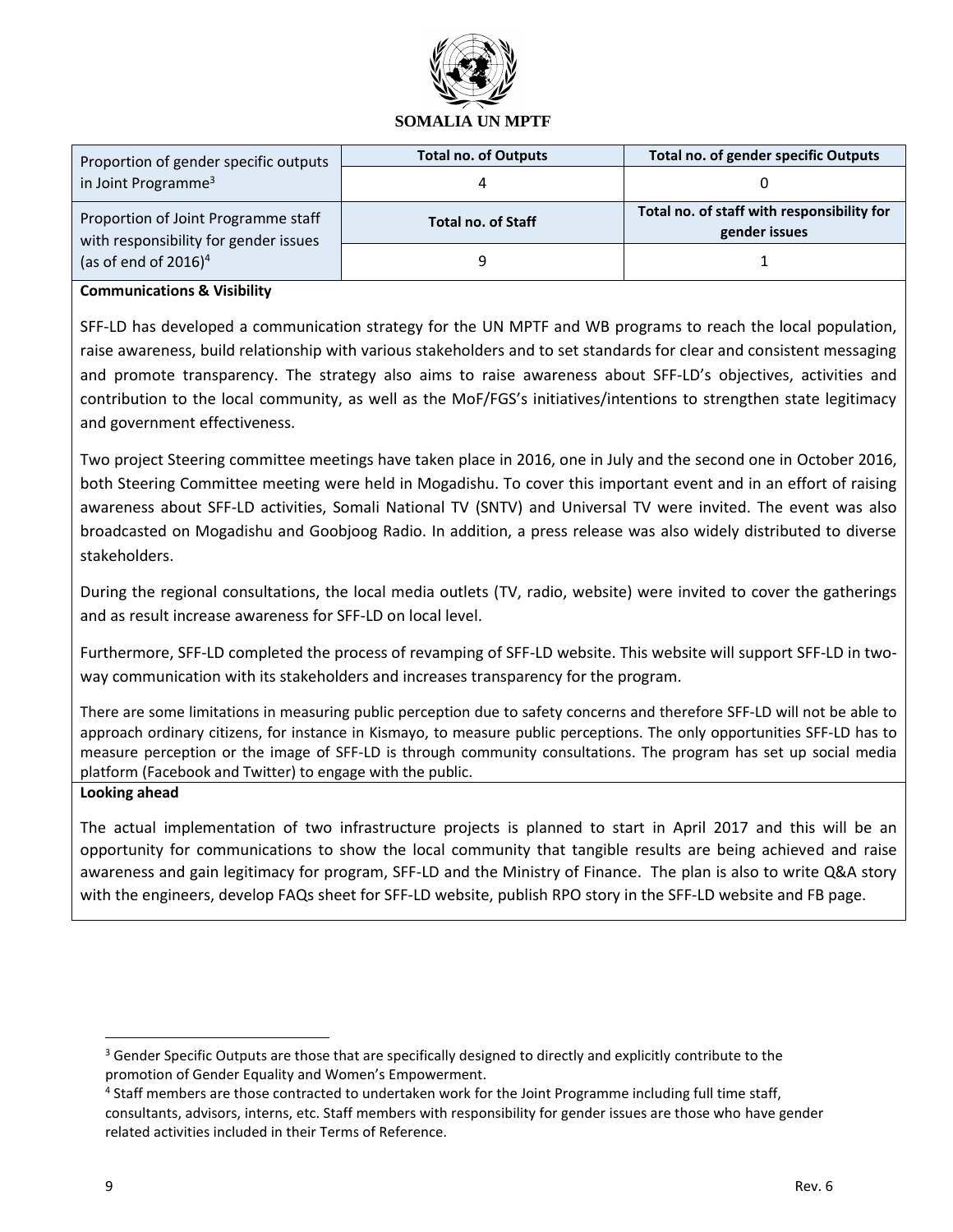

| Proportion of gender specific outputs                                        | <b>Total no. of Outputs</b> | <b>Total no. of gender specific Outputs</b>                 |
|------------------------------------------------------------------------------|-----------------------------|-------------------------------------------------------------|
| in Joint Programme <sup>3</sup>                                              |                             |                                                             |
| Proportion of Joint Programme staff<br>with responsibility for gender issues | <b>Total no. of Staff</b>   | Total no. of staff with responsibility for<br>gender issues |
| (as of end of $2016$ ) <sup>4</sup>                                          |                             |                                                             |

#### **Communications & Visibility**

SFF-LD has developed a communication strategy for the UN MPTF and WB programs to reach the local population, raise awareness, build relationship with various stakeholders and to set standards for clear and consistent messaging and promote transparency. The strategy also aims to raise awareness about SFF-LD's objectives, activities and contribution to the local community, as well as the MoF/FGS's initiatives/intentions to strengthen state legitimacy and government effectiveness.

Two project Steering committee meetings have taken place in 2016, one in July and the second one in October 2016, both Steering Committee meeting were held in Mogadishu. To cover this important event and in an effort of raising awareness about SFF-LD activities, Somali National TV (SNTV) and Universal TV were invited. The event was also broadcasted on Mogadishu and Goobjoog Radio. In addition, a press release was also widely distributed to diverse stakeholders.

During the regional consultations, the local media outlets (TV, radio, website) were invited to cover the gatherings and as result increase awareness for SFF-LD on local level.

Furthermore, SFF-LD completed the process of revamping of SFF-LD website. This website will support SFF-LD in twoway communication with its stakeholders and increases transparency for the program.

There are some limitations in measuring public perception due to safety concerns and therefore SFF-LD will not be able to approach ordinary citizens, for instance in Kismayo, to measure public perceptions. The only opportunities SFF-LD has to measure perception or the image of SFF-LD is through community consultations. The program has set up social media platform (Facebook and Twitter) to engage with the public.

#### **Looking ahead**

The actual implementation of two infrastructure projects is planned to start in April 2017 and this will be an opportunity for communications to show the local community that tangible results are being achieved and raise awareness and gain legitimacy for program, SFF-LD and the Ministry of Finance. The plan is also to write Q&A story with the engineers, develop FAQs sheet for SFF-LD website, publish RPO story in the SFF-LD website and FB page.

 $\overline{\phantom{a}}$ 

 $3$  Gender Specific Outputs are those that are specifically designed to directly and explicitly contribute to the promotion of Gender Equality and Women's Empowerment.

<sup>&</sup>lt;sup>4</sup> Staff members are those contracted to undertaken work for the Joint Programme including full time staff, consultants, advisors, interns, etc. Staff members with responsibility for gender issues are those who have gender related activities included in their Terms of Reference.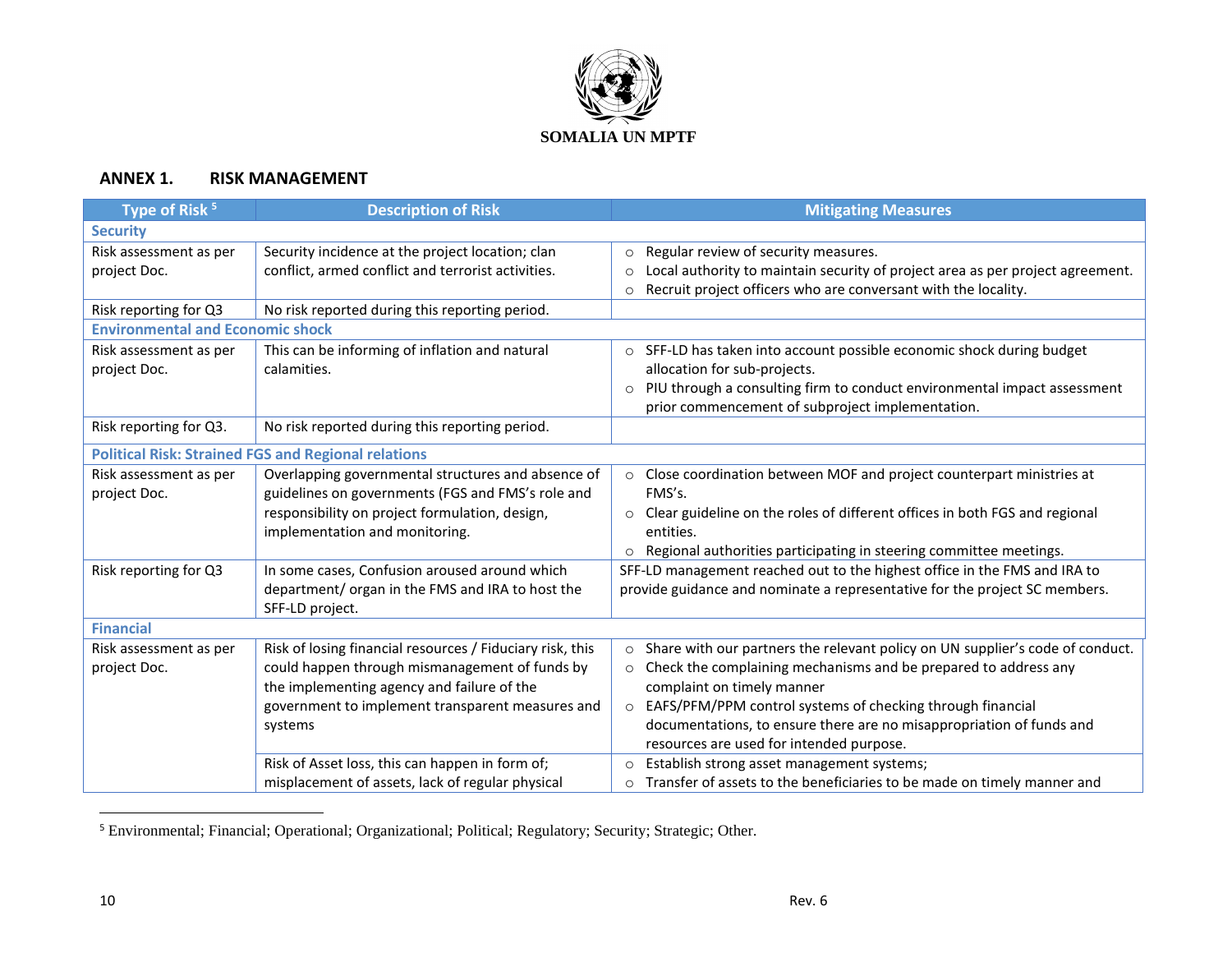

## **ANNEX 1. RISK MANAGEMENT**

| Type of Risk <sup>5</sup>               | <b>Description of Risk</b>                                 | <b>Mitigating Measures</b>                                                                |
|-----------------------------------------|------------------------------------------------------------|-------------------------------------------------------------------------------------------|
| <b>Security</b>                         |                                                            |                                                                                           |
| Risk assessment as per                  | Security incidence at the project location; clan           | Regular review of security measures.<br>$\circ$                                           |
| project Doc.                            | conflict, armed conflict and terrorist activities.         | Local authority to maintain security of project area as per project agreement.<br>$\circ$ |
|                                         |                                                            | Recruit project officers who are conversant with the locality.<br>$\circ$                 |
| Risk reporting for Q3                   | No risk reported during this reporting period.             |                                                                                           |
| <b>Environmental and Economic shock</b> |                                                            |                                                                                           |
| Risk assessment as per                  | This can be informing of inflation and natural             | o SFF-LD has taken into account possible economic shock during budget                     |
| project Doc.                            | calamities.                                                | allocation for sub-projects.                                                              |
|                                         |                                                            | PIU through a consulting firm to conduct environmental impact assessment                  |
|                                         |                                                            | prior commencement of subproject implementation.                                          |
| Risk reporting for Q3.                  | No risk reported during this reporting period.             |                                                                                           |
|                                         | <b>Political Risk: Strained FGS and Regional relations</b> |                                                                                           |
| Risk assessment as per                  | Overlapping governmental structures and absence of         | o Close coordination between MOF and project counterpart ministries at                    |
| project Doc.                            | guidelines on governments (FGS and FMS's role and          | FMS's.                                                                                    |
|                                         | responsibility on project formulation, design,             | Clear guideline on the roles of different offices in both FGS and regional<br>$\circ$     |
|                                         | implementation and monitoring.                             | entities.                                                                                 |
|                                         |                                                            | Regional authorities participating in steering committee meetings.<br>$\circ$             |
| Risk reporting for Q3                   | In some cases, Confusion aroused around which              | SFF-LD management reached out to the highest office in the FMS and IRA to                 |
|                                         | department/ organ in the FMS and IRA to host the           | provide guidance and nominate a representative for the project SC members.                |
|                                         | SFF-LD project.                                            |                                                                                           |
| <b>Financial</b>                        |                                                            |                                                                                           |
| Risk assessment as per                  | Risk of losing financial resources / Fiduciary risk, this  | Share with our partners the relevant policy on UN supplier's code of conduct.             |
| project Doc.                            | could happen through mismanagement of funds by             | Check the complaining mechanisms and be prepared to address any<br>$\circ$                |
|                                         | the implementing agency and failure of the                 | complaint on timely manner                                                                |
|                                         | government to implement transparent measures and           | EAFS/PFM/PPM control systems of checking through financial<br>$\circ$                     |
|                                         | systems                                                    | documentations, to ensure there are no misappropriation of funds and                      |
|                                         |                                                            | resources are used for intended purpose.                                                  |
|                                         | Risk of Asset loss, this can happen in form of;            | Establish strong asset management systems;<br>$\circ$                                     |
|                                         | misplacement of assets, lack of regular physical           | Transfer of assets to the beneficiaries to be made on timely manner and<br>$\circ$        |

<sup>5</sup> Environmental; Financial; Operational; Organizational; Political; Regulatory; Security; Strategic; Other.

 $\overline{a}$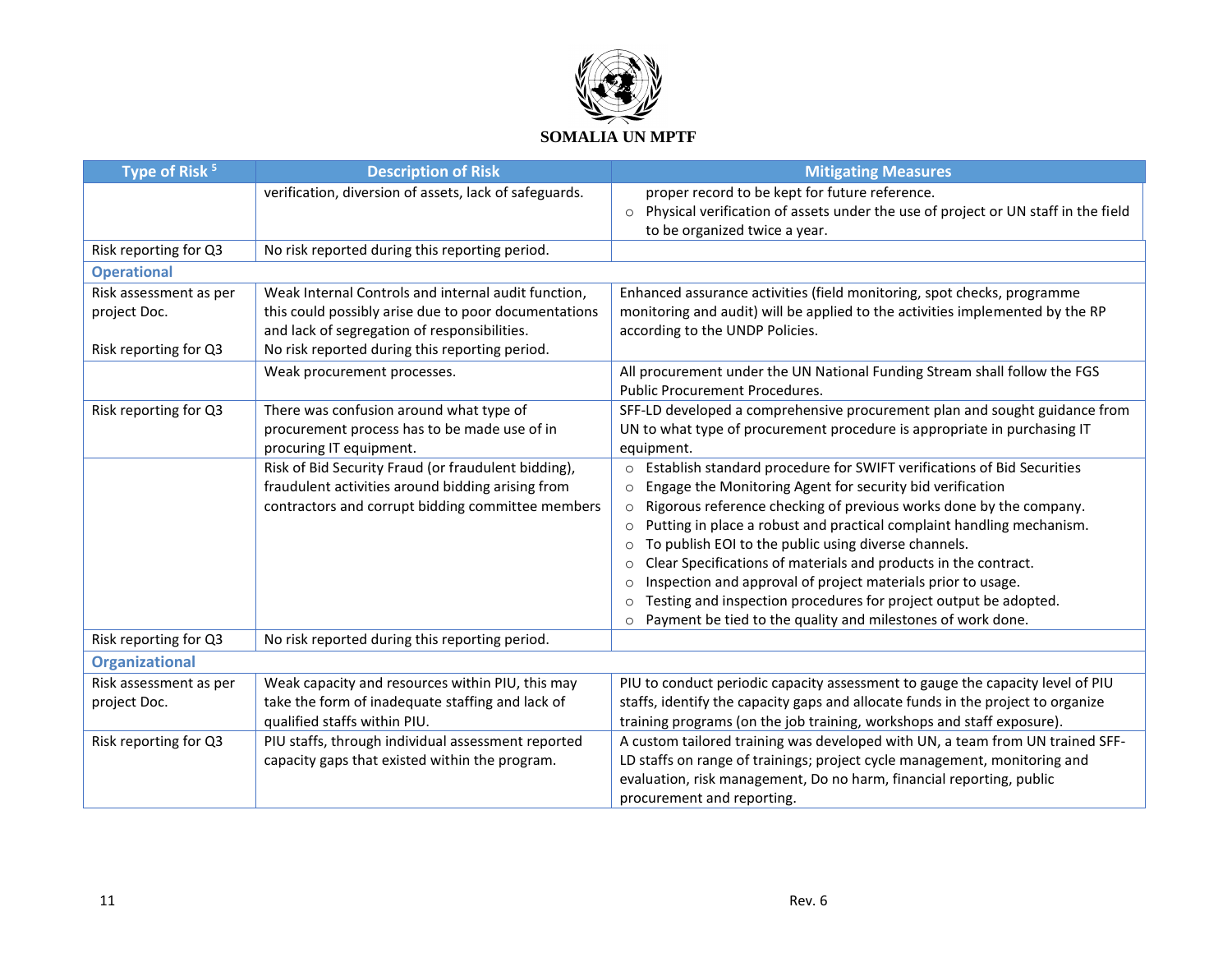

| Type of Risk <sup>5</sup> | <b>Description of Risk</b>                             | <b>Mitigating Measures</b>                                                                                                    |
|---------------------------|--------------------------------------------------------|-------------------------------------------------------------------------------------------------------------------------------|
|                           | verification, diversion of assets, lack of safeguards. | proper record to be kept for future reference.                                                                                |
|                           |                                                        | Physical verification of assets under the use of project or UN staff in the field<br>$\circ$<br>to be organized twice a year. |
| Risk reporting for Q3     | No risk reported during this reporting period.         |                                                                                                                               |
| <b>Operational</b>        |                                                        |                                                                                                                               |
| Risk assessment as per    | Weak Internal Controls and internal audit function,    | Enhanced assurance activities (field monitoring, spot checks, programme                                                       |
| project Doc.              | this could possibly arise due to poor documentations   | monitoring and audit) will be applied to the activities implemented by the RP                                                 |
|                           | and lack of segregation of responsibilities.           | according to the UNDP Policies.                                                                                               |
| Risk reporting for Q3     | No risk reported during this reporting period.         |                                                                                                                               |
|                           | Weak procurement processes.                            | All procurement under the UN National Funding Stream shall follow the FGS                                                     |
|                           |                                                        | <b>Public Procurement Procedures.</b>                                                                                         |
| Risk reporting for Q3     | There was confusion around what type of                | SFF-LD developed a comprehensive procurement plan and sought guidance from                                                    |
|                           | procurement process has to be made use of in           | UN to what type of procurement procedure is appropriate in purchasing IT                                                      |
|                           | procuring IT equipment.                                | equipment.                                                                                                                    |
|                           | Risk of Bid Security Fraud (or fraudulent bidding),    | Establish standard procedure for SWIFT verifications of Bid Securities<br>$\circ$                                             |
|                           | fraudulent activities around bidding arising from      | Engage the Monitoring Agent for security bid verification<br>$\circ$                                                          |
|                           | contractors and corrupt bidding committee members      | Rigorous reference checking of previous works done by the company.<br>$\circ$                                                 |
|                           |                                                        | Putting in place a robust and practical complaint handling mechanism.<br>$\circ$                                              |
|                           |                                                        | To publish EOI to the public using diverse channels.<br>$\circ$                                                               |
|                           |                                                        | Clear Specifications of materials and products in the contract.<br>$\circ$                                                    |
|                           |                                                        | Inspection and approval of project materials prior to usage.<br>$\circ$                                                       |
|                           |                                                        | Testing and inspection procedures for project output be adopted.<br>$\circ$                                                   |
|                           |                                                        | Payment be tied to the quality and milestones of work done.<br>$\circ$                                                        |
| Risk reporting for Q3     | No risk reported during this reporting period.         |                                                                                                                               |
| <b>Organizational</b>     |                                                        |                                                                                                                               |
| Risk assessment as per    | Weak capacity and resources within PIU, this may       | PIU to conduct periodic capacity assessment to gauge the capacity level of PIU                                                |
| project Doc.              | take the form of inadequate staffing and lack of       | staffs, identify the capacity gaps and allocate funds in the project to organize                                              |
|                           | qualified staffs within PIU.                           | training programs (on the job training, workshops and staff exposure).                                                        |
| Risk reporting for Q3     | PIU staffs, through individual assessment reported     | A custom tailored training was developed with UN, a team from UN trained SFF-                                                 |
|                           | capacity gaps that existed within the program.         | LD staffs on range of trainings; project cycle management, monitoring and                                                     |
|                           |                                                        | evaluation, risk management, Do no harm, financial reporting, public                                                          |
|                           |                                                        | procurement and reporting.                                                                                                    |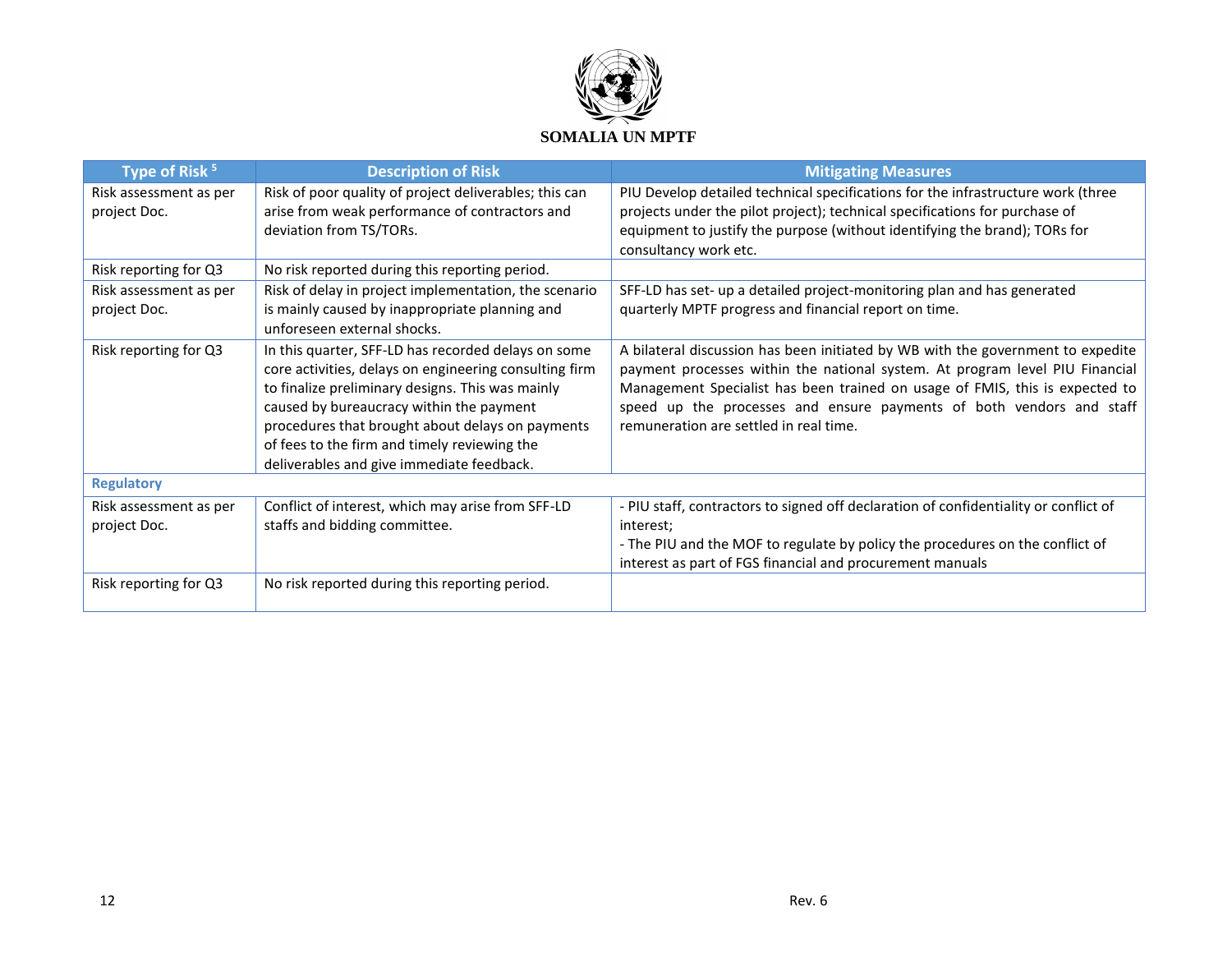

| Type of Risk <sup>5</sup>              | <b>Description of Risk</b>                                                                                                                                                                                                                                                                                                                                     | <b>Mitigating Measures</b>                                                                                                                                                                                                                                                                                                                                        |
|----------------------------------------|----------------------------------------------------------------------------------------------------------------------------------------------------------------------------------------------------------------------------------------------------------------------------------------------------------------------------------------------------------------|-------------------------------------------------------------------------------------------------------------------------------------------------------------------------------------------------------------------------------------------------------------------------------------------------------------------------------------------------------------------|
| Risk assessment as per<br>project Doc. | Risk of poor quality of project deliverables; this can<br>arise from weak performance of contractors and<br>deviation from TS/TORs.                                                                                                                                                                                                                            | PIU Develop detailed technical specifications for the infrastructure work (three<br>projects under the pilot project); technical specifications for purchase of<br>equipment to justify the purpose (without identifying the brand); TORs for<br>consultancy work etc.                                                                                            |
| Risk reporting for Q3                  | No risk reported during this reporting period.                                                                                                                                                                                                                                                                                                                 |                                                                                                                                                                                                                                                                                                                                                                   |
| Risk assessment as per<br>project Doc. | Risk of delay in project implementation, the scenario<br>is mainly caused by inappropriate planning and<br>unforeseen external shocks.                                                                                                                                                                                                                         | SFF-LD has set- up a detailed project-monitoring plan and has generated<br>quarterly MPTF progress and financial report on time.                                                                                                                                                                                                                                  |
| Risk reporting for Q3                  | In this quarter, SFF-LD has recorded delays on some<br>core activities, delays on engineering consulting firm<br>to finalize preliminary designs. This was mainly<br>caused by bureaucracy within the payment<br>procedures that brought about delays on payments<br>of fees to the firm and timely reviewing the<br>deliverables and give immediate feedback. | A bilateral discussion has been initiated by WB with the government to expedite<br>payment processes within the national system. At program level PIU Financial<br>Management Specialist has been trained on usage of FMIS, this is expected to<br>speed up the processes and ensure payments of both vendors and staff<br>remuneration are settled in real time. |
| <b>Regulatory</b>                      |                                                                                                                                                                                                                                                                                                                                                                |                                                                                                                                                                                                                                                                                                                                                                   |
| Risk assessment as per<br>project Doc. | Conflict of interest, which may arise from SFF-LD<br>staffs and bidding committee.                                                                                                                                                                                                                                                                             | - PIU staff, contractors to signed off declaration of confidentiality or conflict of<br>interest:<br>- The PIU and the MOF to regulate by policy the procedures on the conflict of<br>interest as part of FGS financial and procurement manuals                                                                                                                   |
| Risk reporting for Q3                  | No risk reported during this reporting period.                                                                                                                                                                                                                                                                                                                 |                                                                                                                                                                                                                                                                                                                                                                   |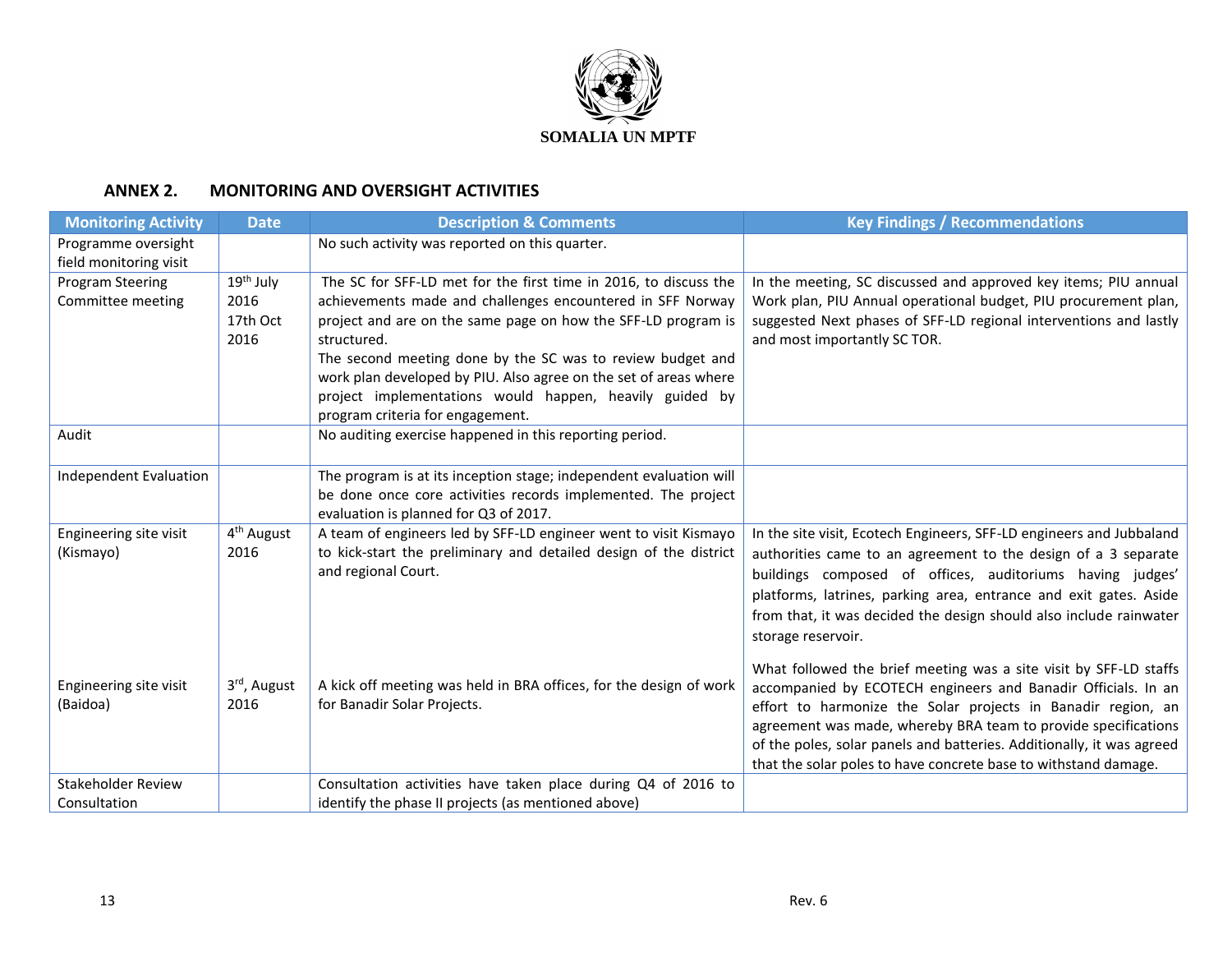

## **ANNEX 2. MONITORING AND OVERSIGHT ACTIVITIES**

| <b>Monitoring Activity</b> | <b>Date</b>            | <b>Description &amp; Comments</b>                                            | <b>Key Findings / Recommendations</b>                                                             |
|----------------------------|------------------------|------------------------------------------------------------------------------|---------------------------------------------------------------------------------------------------|
| Programme oversight        |                        | No such activity was reported on this quarter.                               |                                                                                                   |
| field monitoring visit     |                        |                                                                              |                                                                                                   |
| Program Steering           | 19 <sup>th</sup> July  | The SC for SFF-LD met for the first time in 2016, to discuss the             | In the meeting, SC discussed and approved key items; PIU annual                                   |
| Committee meeting          | 2016                   | achievements made and challenges encountered in SFF Norway                   | Work plan, PIU Annual operational budget, PIU procurement plan,                                   |
|                            | 17th Oct<br>2016       | project and are on the same page on how the SFF-LD program is<br>structured. | suggested Next phases of SFF-LD regional interventions and lastly<br>and most importantly SC TOR. |
|                            |                        | The second meeting done by the SC was to review budget and                   |                                                                                                   |
|                            |                        | work plan developed by PIU. Also agree on the set of areas where             |                                                                                                   |
|                            |                        | project implementations would happen, heavily guided by                      |                                                                                                   |
|                            |                        | program criteria for engagement.                                             |                                                                                                   |
| Audit                      |                        | No auditing exercise happened in this reporting period.                      |                                                                                                   |
|                            |                        |                                                                              |                                                                                                   |
| Independent Evaluation     |                        | The program is at its inception stage; independent evaluation will           |                                                                                                   |
|                            |                        | be done once core activities records implemented. The project                |                                                                                                   |
|                            |                        | evaluation is planned for Q3 of 2017.                                        |                                                                                                   |
| Engineering site visit     | 4 <sup>th</sup> August | A team of engineers led by SFF-LD engineer went to visit Kismayo             | In the site visit, Ecotech Engineers, SFF-LD engineers and Jubbaland                              |
| (Kismayo)                  | 2016                   | to kick-start the preliminary and detailed design of the district            | authorities came to an agreement to the design of a 3 separate                                    |
|                            |                        | and regional Court.                                                          | buildings composed of offices, auditoriums having judges'                                         |
|                            |                        |                                                                              | platforms, latrines, parking area, entrance and exit gates. Aside                                 |
|                            |                        |                                                                              | from that, it was decided the design should also include rainwater                                |
|                            |                        |                                                                              | storage reservoir.                                                                                |
|                            |                        |                                                                              | What followed the brief meeting was a site visit by SFF-LD staffs                                 |
| Engineering site visit     | 3rd, August            | A kick off meeting was held in BRA offices, for the design of work           | accompanied by ECOTECH engineers and Banadir Officials. In an                                     |
| (Baidoa)                   | 2016                   | for Banadir Solar Projects.                                                  | effort to harmonize the Solar projects in Banadir region, an                                      |
|                            |                        |                                                                              | agreement was made, whereby BRA team to provide specifications                                    |
|                            |                        |                                                                              | of the poles, solar panels and batteries. Additionally, it was agreed                             |
|                            |                        |                                                                              | that the solar poles to have concrete base to withstand damage.                                   |
| <b>Stakeholder Review</b>  |                        | Consultation activities have taken place during Q4 of 2016 to                |                                                                                                   |
| Consultation               |                        | identify the phase II projects (as mentioned above)                          |                                                                                                   |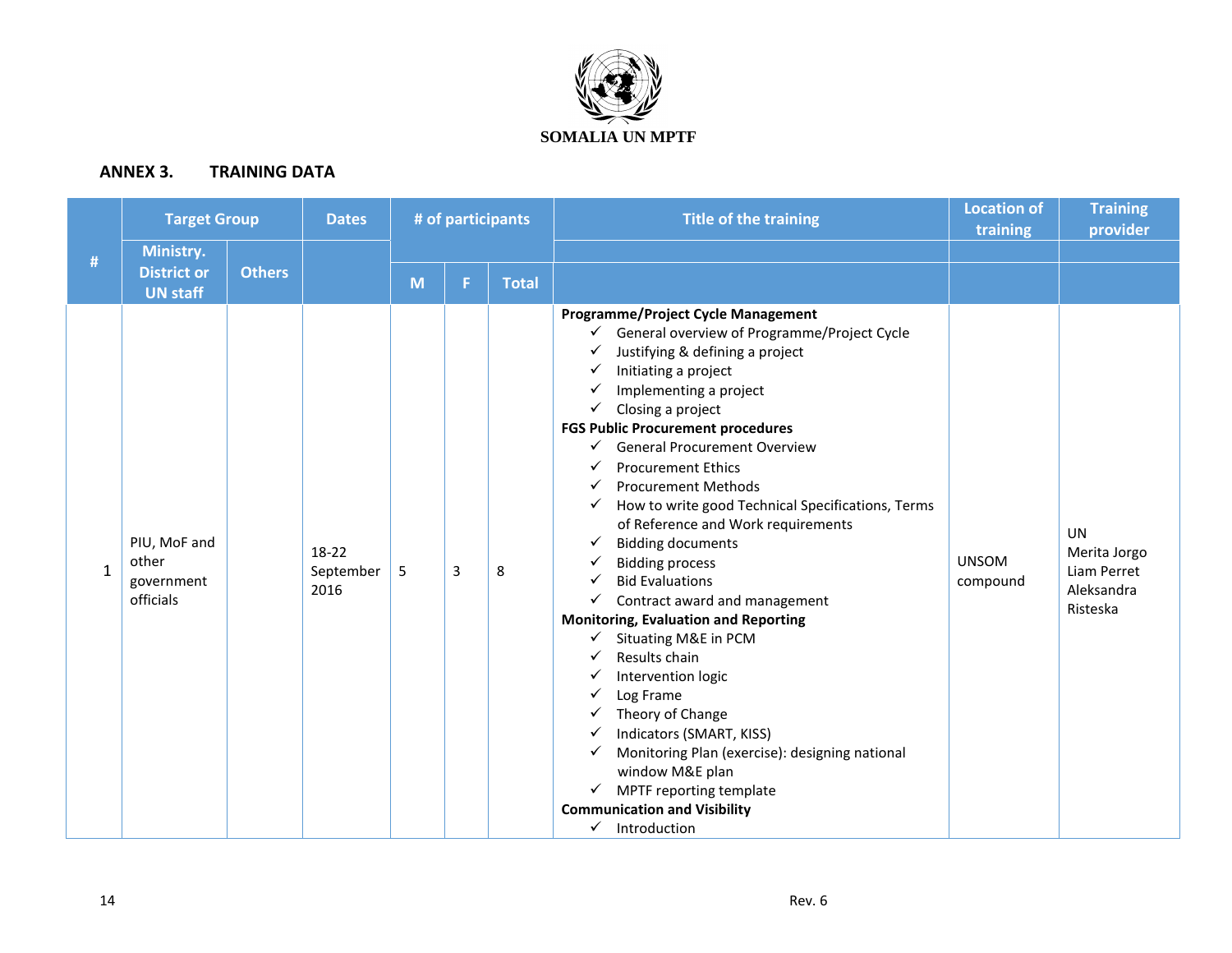

## **ANNEX 3. TRAINING DATA**

|              | <b>Target Group</b>                                |               | <b>Dates</b>                 | # of participants |   |              | <b>Title of the training</b>                                                                                                                                                                                                                                                                                                                                                                                                                                                                                                                                                                                                                                                                                                                                                                                                                                                                                                                                                                                    | <b>Location of</b><br>training | <b>Training</b><br>provider                                 |
|--------------|----------------------------------------------------|---------------|------------------------------|-------------------|---|--------------|-----------------------------------------------------------------------------------------------------------------------------------------------------------------------------------------------------------------------------------------------------------------------------------------------------------------------------------------------------------------------------------------------------------------------------------------------------------------------------------------------------------------------------------------------------------------------------------------------------------------------------------------------------------------------------------------------------------------------------------------------------------------------------------------------------------------------------------------------------------------------------------------------------------------------------------------------------------------------------------------------------------------|--------------------------------|-------------------------------------------------------------|
| $\#$         | Ministry.<br><b>District or</b><br><b>UN staff</b> | <b>Others</b> |                              | M                 | F | <b>Total</b> |                                                                                                                                                                                                                                                                                                                                                                                                                                                                                                                                                                                                                                                                                                                                                                                                                                                                                                                                                                                                                 |                                |                                                             |
| $\mathbf{1}$ | PIU, MoF and<br>other<br>government<br>officials   |               | $18-22$<br>September<br>2016 | 5                 | 3 | 8            | <b>Programme/Project Cycle Management</b><br>General overview of Programme/Project Cycle<br>$\checkmark$<br>Justifying & defining a project<br>✓<br>Initiating a project<br>✓<br>Implementing a project<br>✓<br>Closing a project<br>✓<br><b>FGS Public Procurement procedures</b><br><b>General Procurement Overview</b><br>✓<br><b>Procurement Ethics</b><br><b>Procurement Methods</b><br>How to write good Technical Specifications, Terms<br>✓<br>of Reference and Work requirements<br><b>Bidding documents</b><br>✓<br><b>Bidding process</b><br><b>Bid Evaluations</b><br>Contract award and management<br>✓<br><b>Monitoring, Evaluation and Reporting</b><br>Situating M&E in PCM<br>✓<br>Results chain<br>Intervention logic<br>✓<br>Log Frame<br>✓<br>Theory of Change<br>✓<br>Indicators (SMART, KISS)<br>Monitoring Plan (exercise): designing national<br>✓<br>window M&E plan<br>MPTF reporting template<br>$\checkmark$<br><b>Communication and Visibility</b><br>$\checkmark$<br>Introduction | <b>UNSOM</b><br>compound       | UN<br>Merita Jorgo<br>Liam Perret<br>Aleksandra<br>Risteska |